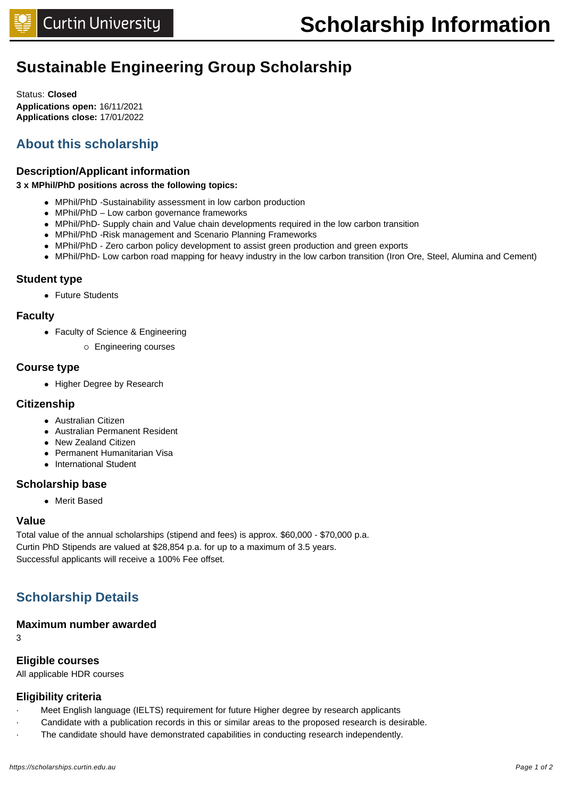## **Sustainable Engineering Group Scholarship**

Status: **Closed Applications open:** 16/11/2021 **Applications close:** 17/01/2022

## **About this scholarship**

#### **Description/Applicant information**

#### **3 x MPhil/PhD positions across the following topics:**

- MPhil/PhD -Sustainability assessment in low carbon production
- MPhil/PhD Low carbon governance frameworks
- MPhil/PhD- Supply chain and Value chain developments required in the low carbon transition
- MPhil/PhD -Risk management and Scenario Planning Frameworks
- MPhil/PhD Zero carbon policy development to assist green production and green exports
- MPhil/PhD- Low carbon road mapping for heavy industry in the low carbon transition (Iron Ore, Steel, Alumina and Cement)

#### **Student type**

• Future Students

#### **Faculty**

- Faculty of Science & Engineering
	- o Engineering courses

#### **Course type**

• Higher Degree by Research

#### **Citizenship**

- Australian Citizen
- Australian Permanent Resident
- New Zealand Citizen
- Permanent Humanitarian Visa
- **.** International Student

#### **Scholarship base**

• Merit Based

#### **Value**

Total value of the annual scholarships (stipend and fees) is approx. \$60,000 - \$70,000 p.a. Curtin PhD Stipends are valued at \$28,854 p.a. for up to a maximum of 3.5 years. Successful applicants will receive a 100% Fee offset.

## **Scholarship Details**

#### **Maximum number awarded**

3

#### **Eligible courses**

All applicable HDR courses

#### **Eligibility criteria**

- · Meet English language (IELTS) requirement for future Higher degree by research applicants
- · Candidate with a publication records in this or similar areas to the proposed research is desirable.
- The candidate should have demonstrated capabilities in conducting research independently.